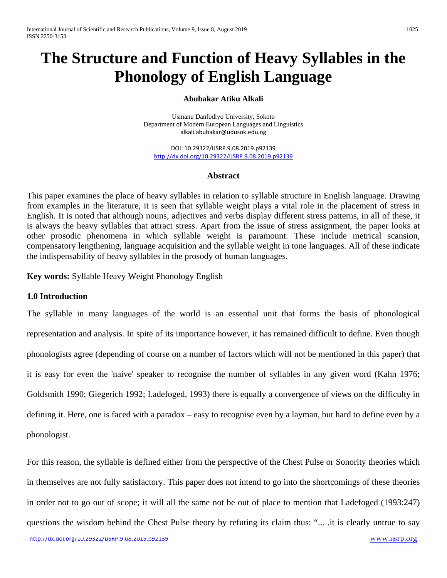# **The Structure and Function of Heavy Syllables in the Phonology of English Language**

# **Abubakar Atiku Alkali**

Usmanu Danfodiyo University, Sokoto Department of Modern European Languages and Linguistics [alkali.abubakar@udusok.edu.ng](mailto:alkali.abubakar@udusok.edu.ng)

DOI: 10.29322/IJSRP.9.08.2019.p92139 <http://dx.doi.org/10.29322/IJSRP.9.08.2019.p92139>

# **Abstract**

This paper examines the place of heavy syllables in relation to syllable structure in English language. Drawing from examples in the literature, it is seen that syllable weight plays a vital role in the placement of stress in English. It is noted that although nouns, adjectives and verbs display different stress patterns, in all of these, it is always the heavy syllables that attract stress. Apart from the issue of stress assignment, the paper looks at other prosodic phenomena in which syllable weight is paramount. These include metrical scansion, compensatory lengthening, language acquisition and the syllable weight in tone languages. All of these indicate the indispensability of heavy syllables in the prosody of human languages.

**Key words:** Syllable Heavy Weight Phonology English

## **1.0 Introduction**

The syllable in many languages of the world is an essential unit that forms the basis of phonological representation and analysis. In spite of its importance however, it has remained difficult to define. Even though phonologists agree (depending of course on a number of factors which will not be mentioned in this paper) that it is easy for even the 'naive' speaker to recognise the number of syllables in any given word (Kahn 1976; Goldsmith 1990; Giegerich 1992; I.adefoged, 1993) there is equally a convergence of views on the difficulty in defining it. Here, one is faced with a paradox – easy to recognise even by a layman, but hard to define even by a phonologist.

For this reason, the syllable is defined either from the perspective of the Chest Pulse or Sonority theories which in themselves are not fully satisfactory. This paper does not intend to go into the shortcomings of these theories in order not to go out of scope; it will all the same not be out of place to mention that Ladefoged (1993:247) questions the wisdom behind the Chest Pulse theory by refuting its claim thus: "... .it is clearly untrue to say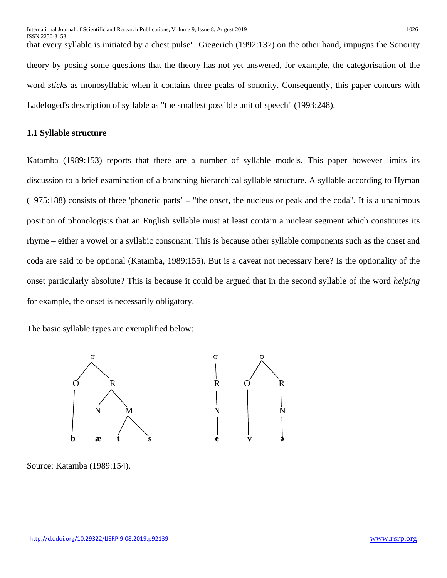that every syllable is initiated by a chest pulse". Giegerich (1992:137) on the other hand, impugns the Sonority theory by posing some questions that the theory has not yet answered, for example, the categorisation of the word *sticks* as monosyllabic when it contains three peaks of sonority. Consequently, this paper concurs with Ladefoged's description of syllable as "the smallest possible unit of speech" (1993:248).

# **1.1 Syllable structure**

Katamba (1989:153) reports that there are a number of syllable models. This paper however limits its discussion to a brief examination of a branching hierarchical syllable structure. A syllable according to Hyman (1975:188) consists of three 'phonetic parts' – "the onset, the nucleus or peak and the coda". It is a unanimous position of phonologists that an English syllable must at least contain a nuclear segment which constitutes its rhyme – either a vowel or a syllabic consonant. This is because other syllable components such as the onset and coda are said to be optional (Katamba, 1989:155). But is a caveat not necessary here? Is the optionality of the onset particularly absolute? This is because it could be argued that in the second syllable of the word *helping* for example, the onset is necessarily obligatory.

The basic syllable types are exemplified below:



Source: Katamba (1989:154).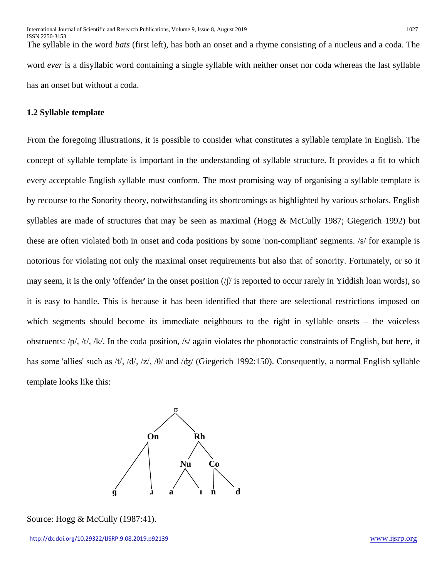The syllable in the word *bats* (first left), has both an onset and a rhyme consisting of a nucleus and a coda. The word *ever* is a disyllabic word containing a single syllable with neither onset nor coda whereas the last syllable has an onset but without a coda.

# **1.2 Syllable template**

From the foregoing illustrations, it is possible to consider what constitutes a syllable template in English. The concept of syllable template is important in the understanding of syllable structure. It provides a fit to which every acceptable English syllable must conform. The most promising way of organising a syllable template is by recourse to the Sonority theory, notwithstanding its shortcomings as highlighted by various scholars. English syllables are made of structures that may be seen as maximal (Hogg & McCully 1987; Giegerich 1992) but these are often violated both in onset and coda positions by some 'non-compliant' segments. /s/ for example is notorious for violating not only the maximal onset requirements but also that of sonority. Fortunately, or so it may seem, it is the only 'offender' in the onset position  $\frac{1}{\sqrt{2}}$  is reported to occur rarely in Yiddish loan words), so it is easy to handle. This is because it has been identified that there are selectional restrictions imposed on which segments should become its immediate neighbours to the right in syllable onsets – the voiceless obstruents: /p/, /t/, /k/. In the coda position, /s/ again violates the phonotactic constraints of English, but here, it has some 'allies' such as /t/, /d/, /z/, / $\theta$ / and / $\frac{d\tau}{dx}$  (Giegerich 1992:150). Consequently, a normal English syllable template looks like this:



Source: Hogg & McCully (1987:41).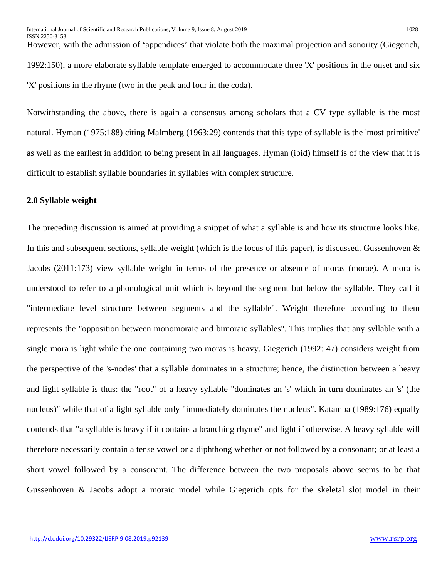However, with the admission of 'appendices' that violate both the maximal projection and sonority (Giegerich, 1992:150), a more elaborate syllable template emerged to accommodate three 'X' positions in the onset and six 'X' positions in the rhyme (two in the peak and four in the coda).

Notwithstanding the above, there is again a consensus among scholars that a CV type syllable is the most natural. Hyman (1975:188) citing Malmberg (1963:29) contends that this type of syllable is the 'most primitive' as well as the earliest in addition to being present in all languages. Hyman (ibid) himself is of the view that it is difficult to establish syllable boundaries in syllables with complex structure.

# **2.0 Syllable weight**

The preceding discussion is aimed at providing a snippet of what a syllable is and how its structure looks like. In this and subsequent sections, syllable weight (which is the focus of this paper), is discussed. Gussenhoven  $\&$ Jacobs (2011:173) view syllable weight in terms of the presence or absence of moras (morae). A mora is understood to refer to a phonological unit which is beyond the segment but below the syllable. They call it "intermediate level structure between segments and the syllable". Weight therefore according to them represents the "opposition between monomoraic and bimoraic syllables". This implies that any syllable with a single mora is light while the one containing two moras is heavy. Giegerich (1992: 47) considers weight from the perspective of the 's-nodes' that a syllable dominates in a structure; hence, the distinction between a heavy and light syllable is thus: the "root" of a heavy syllable "dominates an 's' which in turn dominates an 's' (the nucleus)" while that of a light syllable only "immediately dominates the nucleus". Katamba (1989:176) equally contends that "a syllable is heavy if it contains a branching rhyme" and light if otherwise. A heavy syllable will therefore necessarily contain a tense vowel or a diphthong whether or not followed by a consonant; or at least a short vowel followed by a consonant. The difference between the two proposals above seems to be that Gussenhoven & Jacobs adopt a moraic model while Giegerich opts for the skeletal slot model in their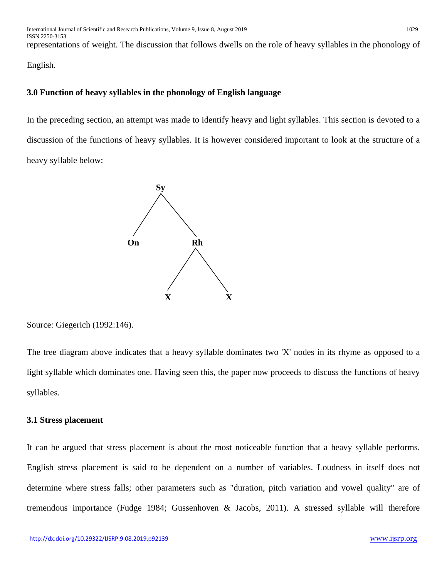representations of weight. The discussion that follows dwells on the role of heavy syllables in the phonology of

English.

# **3.0 Function of heavy syllables in the phonology of English language**

In the preceding section, an attempt was made to identify heavy and light syllables. This section is devoted to a discussion of the functions of heavy syllables. It is however considered important to look at the structure of a heavy syllable below:



Source: Giegerich (1992:146).

The tree diagram above indicates that a heavy syllable dominates two 'X' nodes in its rhyme as opposed to a light syllable which dominates one. Having seen this, the paper now proceeds to discuss the functions of heavy syllables.

# **3.1 Stress placement**

It can be argued that stress placement is about the most noticeable function that a heavy syllable performs. English stress placement is said to be dependent on a number of variables. Loudness in itself does not determine where stress falls; other parameters such as "duration, pitch variation and vowel quality" are of tremendous importance (Fudge 1984; Gussenhoven & Jacobs, 2011). A stressed syllable will therefore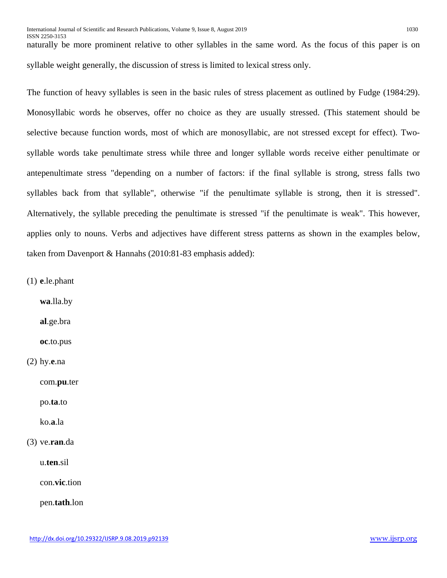ISSN 2250-3153 naturally be more prominent relative to other syllables in the same word. As the focus of this paper is on syllable weight generally, the discussion of stress is limited to lexical stress only.

The function of heavy syllables is seen in the basic rules of stress placement as outlined by Fudge (1984:29). Monosyllabic words he observes, offer no choice as they are usually stressed. (This statement should be selective because function words, most of which are monosyllabic, are not stressed except for effect). Twosyllable words take penultimate stress while three and longer syllable words receive either penultimate or antepenultimate stress "depending on a number of factors: if the final syllable is strong, stress falls two syllables back from that syllable", otherwise "if the penultimate syllable is strong, then it is stressed". Alternatively, the syllable preceding the penultimate is stressed "if the penultimate is weak". This however, applies only to nouns. Verbs and adjectives have different stress patterns as shown in the examples below, taken from Davenport & Hannahs (2010:81-83 emphasis added):

(1) **e**.le.phant

**wa**.lla.by

**al**.ge.bra

**oc**.to.pus

(2) hy.**e**.na

com.**pu**.ter

po.**ta**.to

ko.**a**.la

# (3) ve.**ran**.da

u.**ten**.sil

con.**vic**.tion

pen.**tath**.lon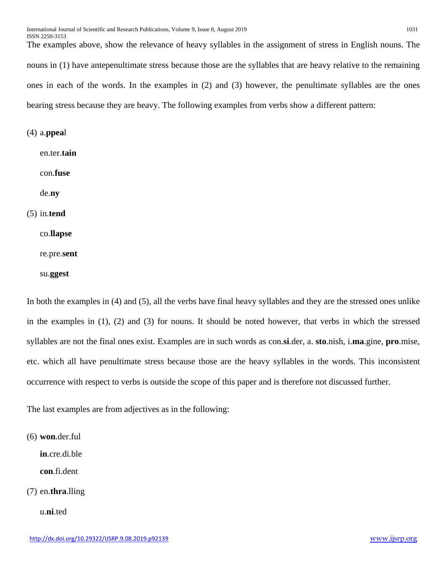The examples above, show the relevance of heavy syllables in the assignment of stress in English nouns. The nouns in (1) have antepenultimate stress because those are the syllables that are heavy relative to the remaining ones in each of the words. In the examples in (2) and (3) however, the penultimate syllables are the ones bearing stress because they are heavy. The following examples from verbs show a different pattern:

(4) a.**ppea**l

en.ter.**tain**

con.**fuse**

de.**ny**

(5) in.**tend**

co.**llapse**

re.pre.**sent**

su.**ggest**

In both the examples in (4) and (5), all the verbs have final heavy syllables and they are the stressed ones unlike in the examples in (1), (2) and (3) for nouns. It should be noted however, that verbs in which the stressed syllables are not the final ones exist. Examples are in such words as con.**si**.der, a. **sto**.nish, i.**ma**.gine, **pro**.mise, etc. which all have penultimate stress because those are the heavy syllables in the words. This inconsistent occurrence with respect to verbs is outside the scope of this paper and is therefore not discussed further.

The last examples are from adjectives as in the following:

(6) **won**.der.ful

**in**.cre.di.ble

**con**.fi.dent

(7) en.**thra**.lling

u.**ni**.ted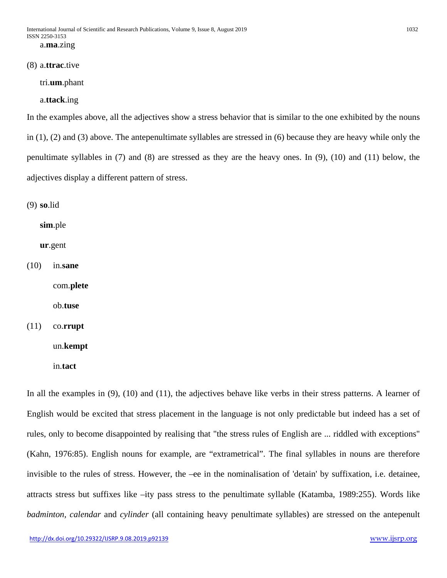#### (8) a.**ttrac**.tive

tri.**um**.phant

a.**ttack**.ing

In the examples above, all the adjectives show a stress behavior that is similar to the one exhibited by the nouns in (1), (2) and (3) above. The antepenultimate syllables are stressed in (6) because they are heavy while only the penultimate syllables in (7) and (8) are stressed as they are the heavy ones. In (9), (10) and (11) below, the adjectives display a different pattern of stress.

(9) **so**.lid

**sim**.ple

**ur**.gent

(10) in.**sane**

com.**plete**

ob.**tuse**

(11) co.**rrupt**

un.**kempt**

in.**tact**

In all the examples in (9), (10) and (11), the adjectives behave like verbs in their stress patterns. A learner of English would be excited that stress placement in the language is not only predictable but indeed has a set of rules, only to become disappointed by realising that "the stress rules of English are ... riddled with exceptions" (Kahn, 1976:85). English nouns for example, are "extrametrical". The final syllables in nouns are therefore invisible to the rules of stress. However, the –ee in the nominalisation of 'detain' by suffixation, i.e. detainee, attracts stress but suffixes like –ity pass stress to the penultimate syllable (Katamba, 1989:255). Words like *badminton, calendar* and *cylinder* (all containing heavy penultimate syllables) are stressed on the antepenult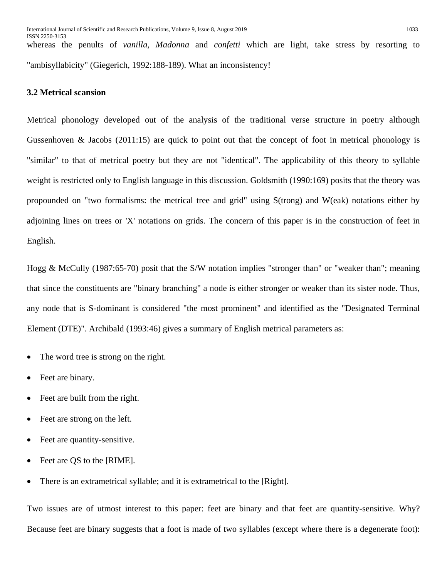ISSN 2250-3153 whereas the penults of *vanilla, Madonna* and *confetti* which are light, take stress by resorting to "ambisyllabicity" (Giegerich, 1992:188-189). What an inconsistency!

# **3.2 Metrical scansion**

Metrical phonology developed out of the analysis of the traditional verse structure in poetry although Gussenhoven & Jacobs (2011:15) are quick to point out that the concept of foot in metrical phonology is "similar" to that of metrical poetry but they are not "identical". The applicability of this theory to syllable weight is restricted only to English language in this discussion. Goldsmith (1990:169) posits that the theory was propounded on "two formalisms: the metrical tree and grid" using S(trong) and W(eak) notations either by adjoining lines on trees or 'X' notations on grids. The concern of this paper is in the construction of feet in English.

Hogg & McCully (1987:65-70) posit that the S/W notation implies "stronger than" or "weaker than"; meaning that since the constituents are "binary branching" a node is either stronger or weaker than its sister node. Thus, any node that is S-dominant is considered "the most prominent" and identified as the "Designated Terminal Element (DTE)". Archibald (1993:46) gives a summary of English metrical parameters as:

- The word tree is strong on the right.
- Feet are binary.
- Feet are built from the right.
- Feet are strong on the left.
- Feet are quantity-sensitive.
- Feet are QS to the [RIME].
- There is an extrametrical syllable; and it is extrametrical to the [Right].

Two issues are of utmost interest to this paper: feet are binary and that feet are quantity-sensitive. Why? Because feet are binary suggests that a foot is made of two syllables (except where there is a degenerate foot):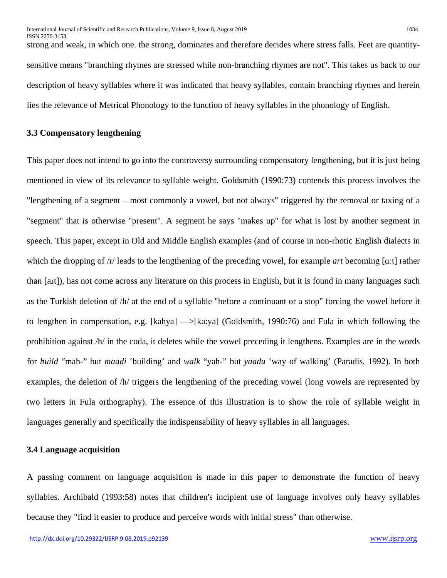strong and weak, in which one. the strong, dominates and therefore decides where stress falls. Feet are quantitysensitive means "branching rhymes are stressed while non-branching rhymes are not". This takes us back to our description of heavy syllables where it was indicated that heavy syllables, contain branching rhymes and herein lies the relevance of Metrical Phonology to the function of heavy syllables in the phonology of English.

## **3.3 Compensatory lengthening**

This paper does not intend to go into the controversy surrounding compensatory lengthening, but it is just being mentioned in view of its relevance to syllable weight. Goldsmith (1990:73) contends this process involves the "lengthening of a segment – most commonly a vowel, but not always" triggered by the removal or taxing of a "segment" that is otherwise "present". A segment he says "makes up" for what is lost by another segment in speech. This paper, except in Old and Middle English examples (and of course in non-rhotic English dialects in which the dropping of /r/ leads to the lengthening of the preceding vowel, for example *art* becoming [ɑ:t] rather than [aɹt]), has not come across any literature on this process in English, but it is found in many languages such as the Turkish deletion of /h/ at the end of a syllable "before a continuant or a stop" forcing the vowel before it to lengthen in compensation, e.g. [kahya] —>[ka:ya] (Goldsmith, 1990:76) and Fula in which following the prohibition against /h/ in the coda, it deletes while the vowel preceding it lengthens. Examples are in the words for *build* "mah-" but *maadi* 'building' and *walk* "yah-" but *yaadu* 'way of walking' (Paradis, 1992). In both examples, the deletion of /h/ triggers the lengthening of the preceding vowel (long vowels are represented by two letters in Fula orthography). The essence of this illustration is to show the role of syllable weight in languages generally and specifically the indispensability of heavy syllables in all languages.

# **3.4 Language acquisition**

A passing comment on language acquisition is made in this paper to demonstrate the function of heavy syllables. Archibald (1993:58) notes that children's incipient use of language involves only heavy syllables because they "find it easier to produce and perceive words with initial stress" than otherwise.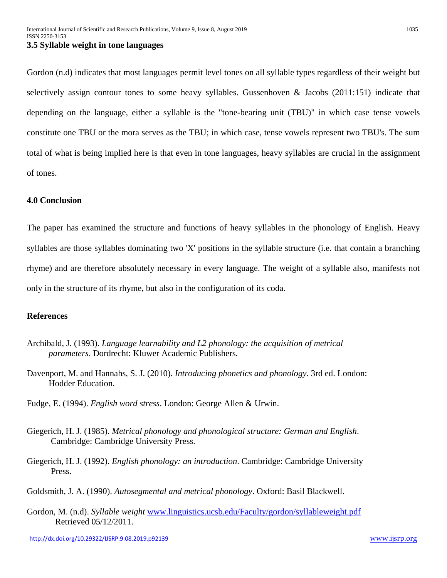Gordon (n.d) indicates that most languages permit level tones on all syllable types regardless of their weight but selectively assign contour tones to some heavy syllables. Gussenhoven & Jacobs (2011:151) indicate that depending on the language, either a syllable is the "tone-bearing unit (TBU)" in which case tense vowels constitute one TBU or the mora serves as the TBU; in which case, tense vowels represent two TBU's. The sum total of what is being implied here is that even in tone languages, heavy syllables are crucial in the assignment of tones.

# **4.0 Conclusion**

The paper has examined the structure and functions of heavy syllables in the phonology of English. Heavy syllables are those syllables dominating two 'X' positions in the syllable structure (i.e. that contain a branching rhyme) and are therefore absolutely necessary in every language. The weight of a syllable also, manifests not only in the structure of its rhyme, but also in the configuration of its coda.

## **References**

- Archibald, J. (1993). *Language learnability and L2 phonology: the acquisition of metrical parameters*. Dordrecht: Kluwer Academic Publishers.
- Davenport, M. and Hannahs, S. J. (2010). *Introducing phonetics and phonology*. 3rd ed. London: Hodder Education.
- Fudge, E. (1994). *English word stress*. London: George Allen & Urwin.
- Giegerich, H. J. (1985). *Metrical phonology and phonological structure: German and English*. Cambridge: Cambridge University Press.
- Giegerich, H. J. (1992). *English phonology: an introduction*. Cambridge: Cambridge University Press.
- Goldsmith, J. A. (1990). *Autosegmental and metrical phonology*. Oxford: Basil Blackwell.
- Gordon, M. (n.d). *Syllable weight* [www.linguistics.ucsb.edu/Faculty/gordon/syllableweight.pdf](http://www.linguistics.ucsb.edu/Faculty/gordon/syllableweight.pdf) Retrieved 05/12/2011.